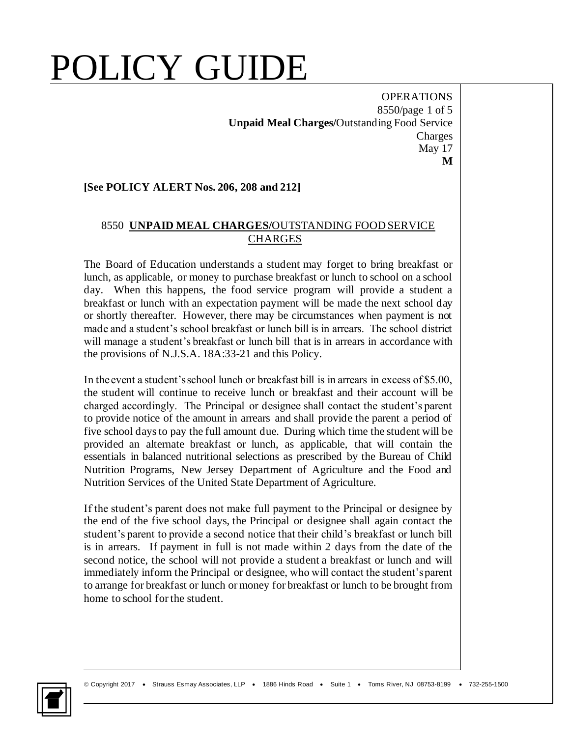## POLICY GUIDE

**OPERATIONS** 8550/page 1 of 5 **Unpaid Meal Charges/**Outstanding Food Service Charges May 17 **M**

## **[See POLICY ALERT Nos. 206, 208 and 212]**

## 8550 **UNPAID MEAL CHARGES/**OUTSTANDING FOOD SERVICE CHARGES

The Board of Education understands a student may forget to bring breakfast or lunch, as applicable, or money to purchase breakfast or lunch to school on a school day. When this happens, the food service program will provide a student a breakfast or lunch with an expectation payment will be made the next school day or shortly thereafter. However, there may be circumstances when payment is not made and a student's school breakfast or lunch bill is in arrears. The school district will manage a student's breakfast or lunch bill that is in arrears in accordance with the provisions of N.J.S.A. 18A:33-21 and this Policy.

In the event a student's school lunch or breakfast bill is in arrears in excess of \$5.00, the student will continue to receive lunch or breakfast and their account will be charged accordingly. The Principal or designee shall contact the student's parent to provide notice of the amount in arrears and shall provide the parent a period of five school days to pay the full amount due. During which time the student will be provided an alternate breakfast or lunch, as applicable, that will contain the essentials in balanced nutritional selections as prescribed by the Bureau of Child Nutrition Programs, New Jersey Department of Agriculture and the Food and Nutrition Services of the United State Department of Agriculture.

If the student's parent does not make full payment to the Principal or designee by the end of the five school days, the Principal or designee shall again contact the student's parent to provide a second notice that their child's breakfast or lunch bill is in arrears. If payment in full is not made within 2 days from the date of the second notice, the school will not provide a student a breakfast or lunch and will immediately inform the Principal or designee, who will contact the student's parent to arrange for breakfast or lunch or money for breakfast or lunch to be brought from home to school for the student.